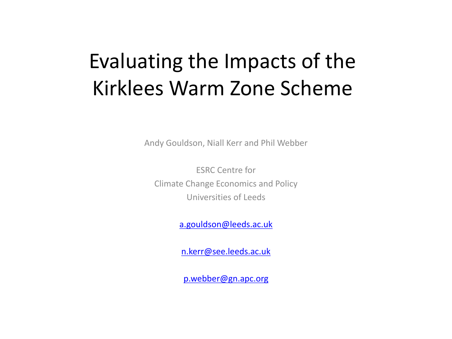#### Evaluating the Impacts of the Kirklees Warm Zone Scheme

Andy Gouldson, Niall Kerr and Phil Webber

ESRC Centre for Climate Change Economics and Policy Universities of Leeds

[a.gouldson@leeds.ac.uk](mailto:a.gouldson@bristol.ac.uk)

[n.kerr@see.leeds.ac.uk](mailto:n.kerr@see.leeds.ac.uk)

[p.webber@gn.apc.org](mailto:p.webber@gn.apc.org)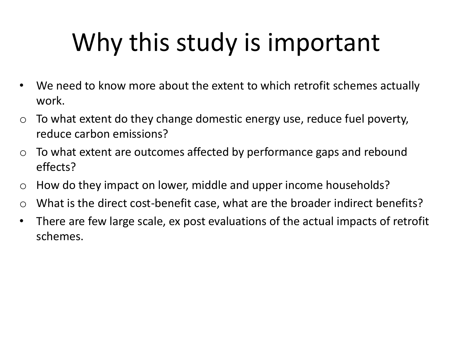## Why this study is important

- We need to know more about the extent to which retrofit schemes actually work.
- $\circ$  To what extent do they change domestic energy use, reduce fuel poverty, reduce carbon emissions?
- $\circ$  To what extent are outcomes affected by performance gaps and rebound effects?
- o How do they impact on lower, middle and upper income households?
- $\circ$  What is the direct cost-benefit case, what are the broader indirect benefits?
- There are few large scale, ex post evaluations of the actual impacts of retrofit schemes.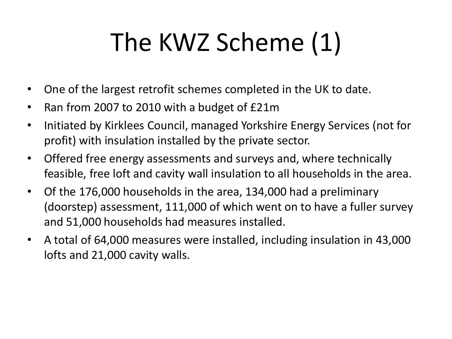# The KWZ Scheme (1)

- One of the largest retrofit schemes completed in the UK to date.
- Ran from 2007 to 2010 with a budget of £21m
- Initiated by Kirklees Council, managed Yorkshire Energy Services (not for profit) with insulation installed by the private sector.
- Offered free energy assessments and surveys and, where technically feasible, free loft and cavity wall insulation to all households in the area.
- Of the 176,000 households in the area, 134,000 had a preliminary (doorstep) assessment, 111,000 of which went on to have a fuller survey and 51,000 households had measures installed.
- A total of 64,000 measures were installed, including insulation in 43,000 lofts and 21,000 cavity walls.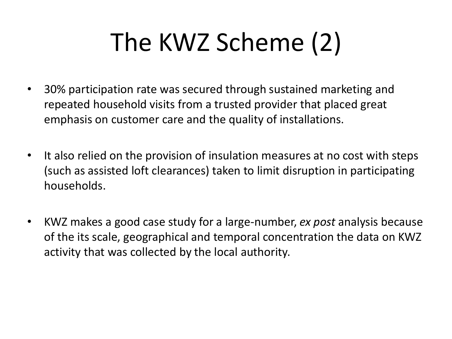## The KWZ Scheme (2)

- 30% participation rate was secured through sustained marketing and repeated household visits from a trusted provider that placed great emphasis on customer care and the quality of installations.
- It also relied on the provision of insulation measures at no cost with steps (such as assisted loft clearances) taken to limit disruption in participating households.
- KWZ makes a good case study for a large-number, *ex post* analysis because of the its scale, geographical and temporal concentration the data on KWZ activity that was collected by the local authority.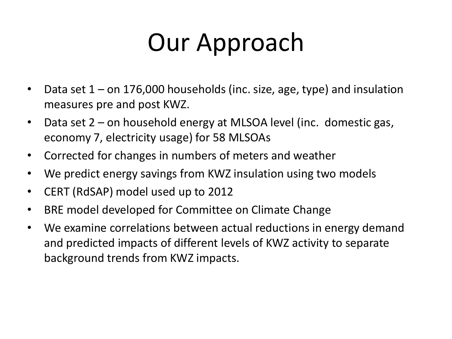### Our Approach

- Data set 1 on 176,000 households (inc. size, age, type) and insulation measures pre and post KWZ.
- Data set 2 on household energy at MLSOA level (inc. domestic gas, economy 7, electricity usage) for 58 MLSOAs
- Corrected for changes in numbers of meters and weather
- We predict energy savings from KWZ insulation using two models
- CERT (RdSAP) model used up to 2012
- BRE model developed for Committee on Climate Change
- We examine correlations between actual reductions in energy demand and predicted impacts of different levels of KWZ activity to separate background trends from KWZ impacts.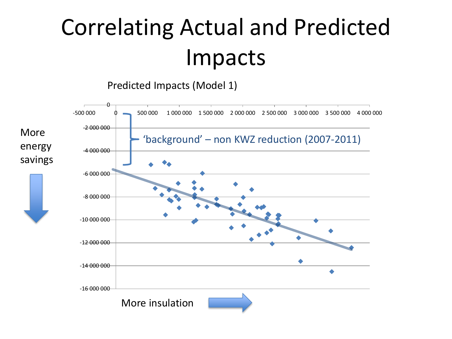### Correlating Actual and Predicted Impacts

Predicted Impacts (Model 1)

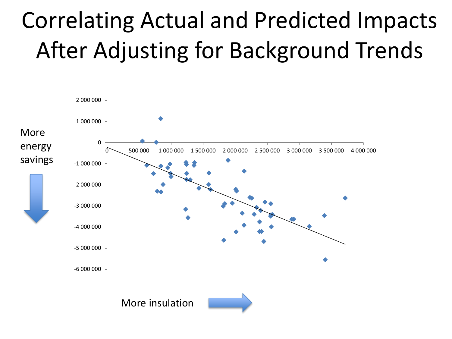### Correlating Actual and Predicted Impacts After Adjusting for Background Trends

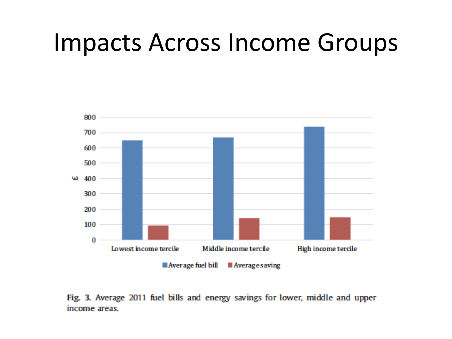#### Impacts Across Income Groups



Fig. 3. Average 2011 fuel bills and energy savings for lower, middle and upper income areas.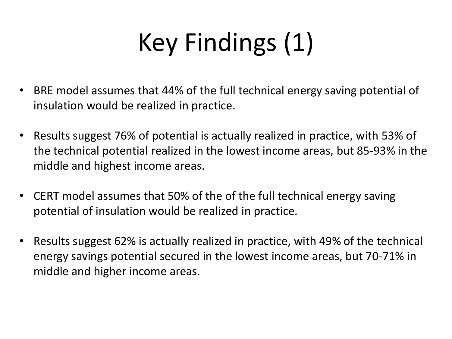# Key Findings (1)

- BRE model assumes that 44% of the full technical energy saving potential of insulation would be realized in practice.
- Results suggest 76% of potential is actually realized in practice, with 53% of the technical potential realized in the lowest income areas, but 85-93% in the middle and highest income areas.
- CERT model assumes that 50% of the of the full technical energy saving potential of insulation would be realized in practice.
- Results suggest 62% is actually realized in practice, with 49% of the technical energy savings potential secured in the lowest income areas, but 70-71% in middle and higher income areas.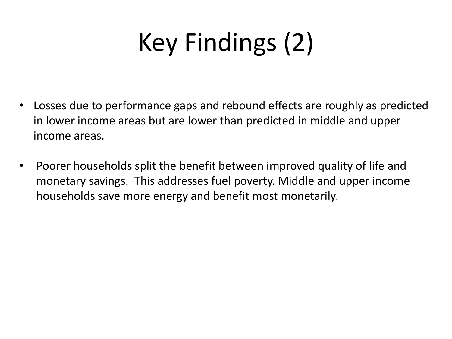# Key Findings (2)

- Losses due to performance gaps and rebound effects are roughly as predicted in lower income areas but are lower than predicted in middle and upper income areas.
- Poorer households split the benefit between improved quality of life and monetary savings. This addresses fuel poverty. Middle and upper income households save more energy and benefit most monetarily.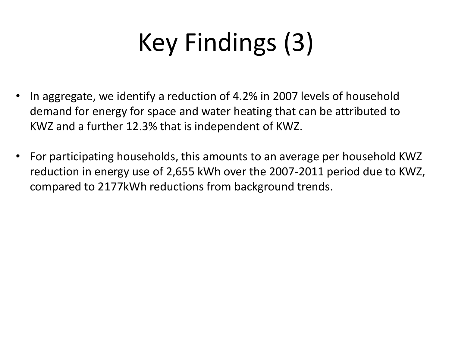# Key Findings (3)

- In aggregate, we identify a reduction of 4.2% in 2007 levels of household demand for energy for space and water heating that can be attributed to KWZ and a further 12.3% that is independent of KWZ.
- For participating households, this amounts to an average per household KWZ reduction in energy use of 2,655 kWh over the 2007-2011 period due to KWZ, compared to 2177kWh reductions from background trends.